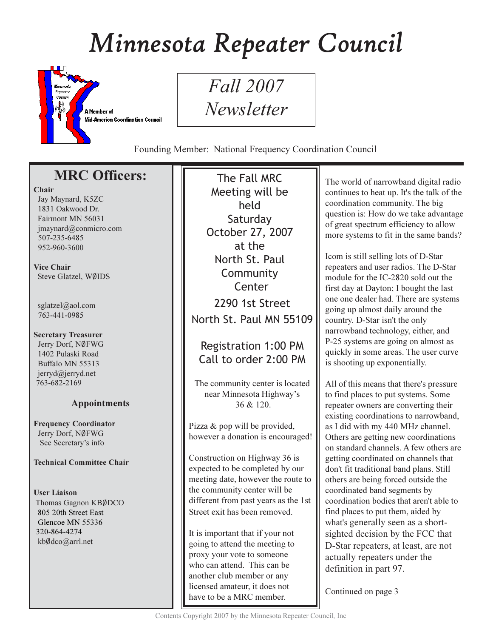# Minnesota Repeater Council



*Fall* 2007 Newsletter

Founding Member: National Frequency Coordination Council

## **MRC Officers:**

## Chair

Jay Maynard, K5ZC 1831 Oakwood Dr. Fairmont MN 56031  $imavnard@comnicro.com$ 507-235-6485 952-960-3600

Vice Chair Steve Glatzel, WØIDS

sglatzel@aol.com 763-441-0985

#### **Secretary Treasurer** Jerry Dorf, NØFWG 1402 Pulaski Road Buffalo MN 55313

jerryd@jerryd.net 763-682-2169

## **Appointments**

**Frequency Coordinator** Jerry Dorf, NØFWG See Secretary's info

## **Technical Committee Chair**

**User Liaison** Thomas Gagnon KBØDCO 805 20th Street East Glencoe MN 55336 320-864-4274 kbØdco@arrl.net

The Fall MRC Meeting will be held Saturday October 27, 2007 at the North St. Paul Community Center 2290 1st Street North St. Paul MN 55109

## **Registration 1:00 PM** Call to order 2:00 PM

The community center is located near Minnesota Highway's  $36 & 120$ .

Pizza & pop will be provided, however a donation is encouraged!

Construction on Highway 36 is expected to be completed by our meeting date, however the route to the community center will be different from past years as the 1st Street exit has been removed.

It is important that if your not going to attend the meeting to proxy your vote to someone who can attend. This can be another club member or any licensed amateur, it does not have to be a MRC member.

The world of narrowband digital radio continues to heat up. It's the talk of the coordination community. The big question is: How do we take advantage of great spectrum efficiency to allow more systems to fit in the same bands?

Icom is still selling lots of D-Star repeaters and user radios. The D-Star module for the IC-2820 sold out the first day at Dayton; I bought the last one one dealer had. There are systems going up almost daily around the country. D-Star isn't the only narrowband technology, either, and P-25 systems are going on almost as quickly in some areas. The user curve is shooting up exponentially.

All of this means that there's pressure to find places to put systems. Some repeater owners are converting their existing coordinations to narrowband, as I did with my 440 MHz channel. Others are getting new coordinations on standard channels. A few others are getting coordinated on channels that don't fit traditional band plans. Still others are being forced outside the coordinated band segments by coordination bodies that aren't able to find places to put them, aided by what's generally seen as a shortsighted decision by the FCC that D-Star repeaters, at least, are not actually repeaters under the definition in part 97.

Continued on page 3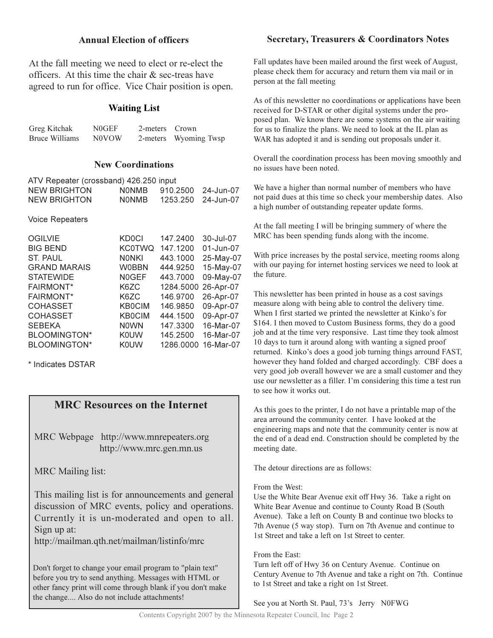## **Annual Election of officers**

At the fall meeting we need to elect or re-elect the officers. At this time the chair  $\&$  sec-treas have agreed to run for office. Vice Chair position is open.

## **Waiting List**

| Greg Kitchak   | N0GEF | 2-meters Crown |                       |
|----------------|-------|----------------|-----------------------|
| Bruce Williams | N0VOW |                | 2-meters Wyoming Twsp |

#### **New Coordinations**

| ATV Repeater (crossband) 426.250 |               | input     |           |
|----------------------------------|---------------|-----------|-----------|
| <b>NEW BRIGHTON</b>              | <b>NONMB</b>  | 910.2500  | 24-Jun-07 |
| <b>NEW BRIGHTON</b>              | <b>NONMB</b>  | 1253.250  | 24-Jun-07 |
| <b>Voice Repeaters</b>           |               |           |           |
| <b>OGILVIE</b>                   | <b>KD0CI</b>  | 147.2400  | 30-Jul-07 |
| <b>BIG BEND</b>                  | <b>KC0TWQ</b> | 147.1200  | 01-Jun-07 |
| <b>ST. PAUL</b>                  | <b>NONKI</b>  | 443.1000  | 25-May-07 |
| <b>GRAND MARAIS</b>              | <b>W0BBN</b>  | 444.9250  | 15-May-07 |
| <b>STATEWIDE</b>                 | <b>NOGEF</b>  | 443.7000  | 09-May-07 |
| <b>FAIRMONT*</b>                 | K6ZC          | 1284.5000 | 26-Apr-07 |
| <b>FAIRMONT*</b>                 | K6ZC          | 146.9700  | 26-Apr-07 |
| <b>COHASSET</b>                  | <b>KB0CIM</b> | 146.9850  | 09-Apr-07 |
| <b>COHASSET</b>                  | <b>KB0CIM</b> | 444.1500  | 09-Apr-07 |
| <b>SEBEKA</b>                    | <b>NOWN</b>   | 147.3300  | 16-Mar-07 |
| <b>BLOOMINGTON*</b>              | <b>K0UW</b>   | 145.2500  | 16-Mar-07 |
| <b>BLOOMINGTON*</b>              | KOUW          | 1286.0000 | 16-Mar-07 |

\* Indicates DSTAR

## **MRC Resources on the Internet**

MRC Webpage http://www.mnrepeaters.org http://www.mrc.gen.mn.us

MRC Mailing list:

This mailing list is for announcements and general discussion of MRC events, policy and operations. Currently it is un-moderated and open to all. Sign up at:

http://mailman.qth.net/mailman/listinfo/mrc

Don't forget to change your email program to "plain text" before you try to send anything. Messages with HTML or other fancy print will come through blank if you don't make the change.... Also do not include attachments!

## **Secretary, Treasurers & Coordinators Notes**

Fall updates have been mailed around the first week of August, please check them for accuracy and return them via mail or in person at the fall meeting

As of this newsletter no coordinations or applications have been received for D-STAR or other digital systems under the proposed plan. We know there are some systems on the air waiting for us to finalize the plans. We need to look at the IL plan as WAR has adopted it and is sending out proposals under it.

Overall the coordination process has been moving smoothly and no issues have been noted.

We have a higher than normal number of members who have not paid dues at this time so check your membership dates. Also a high number of outstanding repeater update forms.

At the fall meeting I will be bringing summery of where the MRC has been spending funds along with the income.

With price increases by the postal service, meeting rooms along with our paying for internet hosting services we need to look at the future.

This newsletter has been printed in house as a cost savings measure along with being able to control the delivery time. When I first started we printed the newsletter at Kinko's for \$164. I then moved to Custom Business forms, they do a good job and at the time very responsive. Last time they took almost 10 days to turn it around along with wanting a signed proof returned. Kinko's does a good job turning things arround FAST, however they hand folded and charged accordingly. CBF does a very good job overall however we are a small customer and they use our newsletter as a filler. I'm considering this time a test run to see how it works out.

As this goes to the printer, I do not have a printable map of the area arround the community center. I have looked at the engineering maps and note that the community center is now at the end of a dead end. Construction should be completed by the meeting date.

The detour directions are as follows:

#### From the West:

Use the White Bear Avenue exit off Hwy 36. Take a right on White Bear Avenue and continue to County Road B (South Avenue). Take a left on County B and continue two blocks to 7th Avenue (5 way stop). Turn on 7th Avenue and continue to 1st Street and take a left on 1st Street to center.

#### From the East:

Turn left off of Hwy 36 on Century Avenue. Continue on Century Avenue to 7th Avenue and take a right on 7th. Continue to 1st Street and take a right on 1st Street.

See you at North St. Paul, 73's Jerry N0FWG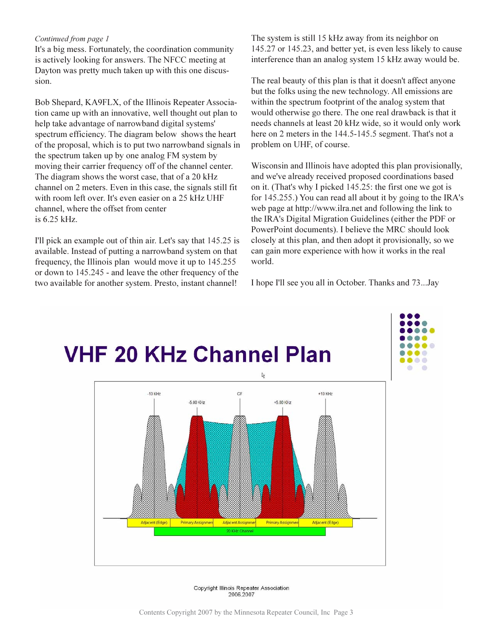#### Continued from page 1

It's a big mess. Fortunately, the coordination community is actively looking for answers. The NFCC meeting at Dayton was pretty much taken up with this one discussion.

Bob Shepard, KA9FLX, of the Illinois Repeater Association came up with an innovative, well thought out plan to help take advantage of narrowband digital systems' spectrum efficiency. The diagram below shows the heart of the proposal, which is to put two narrowband signals in the spectrum taken up by one analog FM system by moving their carrier frequency off of the channel center. The diagram shows the worst case, that of a 20 kHz channel on 2 meters. Even in this case, the signals still fit with room left over. It's even easier on a 25 kHz UHF channel, where the offset from center is  $6.25$  kHz.

I'll pick an example out of thin air. Let's say that 145.25 is available. Instead of putting a narrowband system on that frequency, the Illinois plan would move it up to 145.255 or down to 145.245 - and leave the other frequency of the two available for another system. Presto, instant channel!

The system is still 15 kHz away from its neighbor on 145.27 or 145.23, and better yet, is even less likely to cause interference than an analog system 15 kHz away would be.

The real beauty of this plan is that it doesn't affect anyone but the folks using the new technology. All emissions are within the spectrum footprint of the analog system that would otherwise go there. The one real drawback is that it needs channels at least 20 kHz wide, so it would only work here on 2 meters in the 144.5-145.5 segment. That's not a problem on UHF, of course.

Wisconsin and Illinois have adopted this plan provisionally, and we've already received proposed coordinations based on it. (That's why I picked 145.25: the first one we got is for 145.255.) You can read all about it by going to the IRA's web page at http://www.ilra.net and following the link to the IRA's Digital Migration Guidelines (either the PDF or PowerPoint documents). I believe the MRC should look closely at this plan, and then adopt it provisionally, so we can gain more experience with how it works in the real world.

I hope I'll see you all in October. Thanks and 73...Jay



Copyright Illinois Repeater Association 2006,2007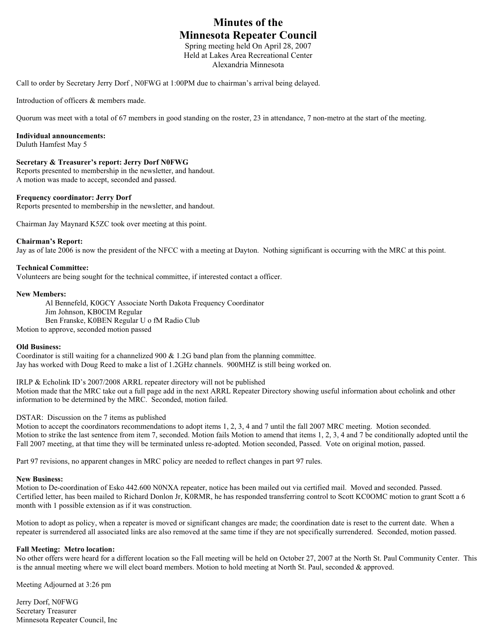## **Minutes of the Minnesota Repeater Council**

Spring meeting held On April 28, 2007 Held at Lakes Area Recreational Center Alexandria Minnesota

Call to order by Secretary Jerry Dorf , N0FWG at 1:00PM due to chairman's arrival being delayed.

Introduction of officers & members made.

Quorum was meet with a total of 67 members in good standing on the roster, 23 in attendance, 7 non-metro at the start of the meeting.

#### **Individual announcements:**

Duluth Hamfest May 5

#### **Secretary & Treasurer's report: Jerry Dorf N0FWG**

Reports presented to membership in the newsletter, and handout. A motion was made to accept, seconded and passed.

#### **Frequency coordinator: Jerry Dorf**

Reports presented to membership in the newsletter, and handout.

Chairman Jay Maynard K5ZC took over meeting at this point.

#### **Chairman's Report:**

Jay as of late 2006 is now the president of the NFCC with a meeting at Dayton. Nothing significant is occurring with the MRC at this point.

#### **Technical Committee:**

Volunteers are being sought for the technical committee, if interested contact a officer.

#### **New Members:**

 Al Bennefeld, K0GCY Associate North Dakota Frequency Coordinator Jim Johnson, KB0CIM Regular Ben Franske, K0BEN Regular U o fM Radio Club Motion to approve, seconded motion passed

#### **Old Business:**

Coordinator is still waiting for a channelized 900 & 1.2G band plan from the planning committee. Jay has worked with Doug Reed to make a list of 1.2GHz channels. 900MHZ is still being worked on.

IRLP & Echolink ID's 2007/2008 ARRL repeater directory will not be published Motion made that the MRC take out a full page add in the next ARRL Repeater Directory showing useful information about echolink and other information to be determined by the MRC. Seconded, motion failed.

DSTAR: Discussion on the 7 items as published

Motion to accept the coordinators recommendations to adopt items 1, 2, 3, 4 and 7 until the fall 2007 MRC meeting. Motion seconded. Motion to strike the last sentence from item 7, seconded. Motion fails Motion to amend that items 1, 2, 3, 4 and 7 be conditionally adopted until the Fall 2007 meeting, at that time they will be terminated unless re-adopted. Motion seconded, Passed. Vote on original motion, passed.

Part 97 revisions, no apparent changes in MRC policy are needed to reflect changes in part 97 rules.

#### **New Business:**

Motion to De-coordination of Esko 442.600 N0NXA repeater, notice has been mailed out via certified mail. Moved and seconded. Passed. Certified letter, has been mailed to Richard Donlon Jr, K0RMR, he has responded transferring control to Scott KC0OMC motion to grant Scott a 6 month with 1 possible extension as if it was construction.

Motion to adopt as policy, when a repeater is moved or significant changes are made; the coordination date is reset to the current date. When a repeater is surrendered all associated links are also removed at the same time if they are not specifically surrendered. Seconded, motion passed.

#### **Fall Meeting: Metro location:**

No other offers were heard for a different location so the Fall meeting will be held on October 27, 2007 at the North St. Paul Community Center. This is the annual meeting where we will elect board members. Motion to hold meeting at North St. Paul, seconded & approved.

Meeting Adjourned at 3:26 pm

Jerry Dorf, N0FWG Secretary Treasurer Minnesota Repeater Council, Inc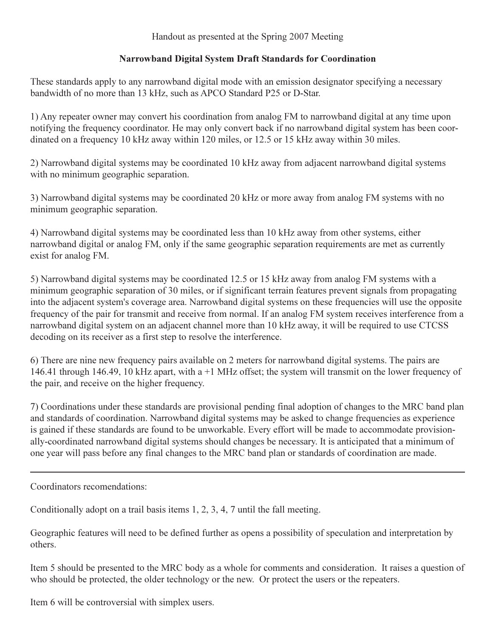## Handout as presented at the Spring 2007 Meeting

## Narrowband Digital System Draft Standards for Coordination

These standards apply to any narrowband digital mode with an emission designator specifying a necessary bandwidth of no more than 13 kHz, such as APCO Standard P25 or D-Star.

1) Any repeater owner may convert his coordination from analog FM to narrowband digital at any time upon notifying the frequency coordinator. He may only convert back if no narrowband digital system has been coordinated on a frequency 10 kHz away within 120 miles, or 12.5 or 15 kHz away within 30 miles.

2) Narrowband digital systems may be coordinated 10 kHz away from adjacent narrowband digital systems with no minimum geographic separation.

3) Narrowband digital systems may be coordinated 20 kHz or more away from analog FM systems with no minimum geographic separation.

4) Narrowband digital systems may be coordinated less than 10 kHz away from other systems, either narrowband digital or analog FM, only if the same geographic separation requirements are met as currently exist for analog FM.

5) Narrowband digital systems may be coordinated 12.5 or 15 kHz away from analog FM systems with a minimum geographic separation of 30 miles, or if significant terrain features prevent signals from propagating into the adjacent system's coverage area. Narrowband digital systems on these frequencies will use the opposite frequency of the pair for transmit and receive from normal. If an analog FM system receives interference from a narrowband digital system on an adjacent channel more than 10 kHz away, it will be required to use CTCSS decoding on its receiver as a first step to resolve the interference.

6) There are nine new frequency pairs available on 2 meters for narrowband digital systems. The pairs are 146.41 through 146.49, 10 kHz apart, with a  $+1$  MHz offset; the system will transmit on the lower frequency of the pair, and receive on the higher frequency.

7) Coordinations under these standards are provisional pending final adoption of changes to the MRC band plan and standards of coordination. Narrowband digital systems may be asked to change frequencies as experience is gained if these standards are found to be unworkable. Every effort will be made to accommodate provisionally-coordinated narrowband digital systems should changes be necessary. It is anticipated that a minimum of one year will pass before any final changes to the MRC band plan or standards of coordination are made.

Coordinators recomendations:

Conditionally adopt on a trail basis items 1, 2, 3, 4, 7 until the fall meeting.

Geographic features will need to be defined further as opens a possibility of speculation and interpretation by others.

Item 5 should be presented to the MRC body as a whole for comments and consideration. It raises a question of who should be protected, the older technology or the new. Or protect the users or the repeaters.

Item 6 will be controversial with simplex users.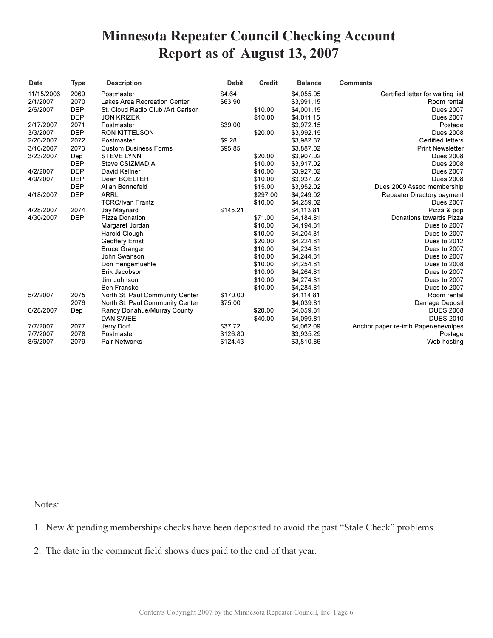## **Minnesota Repeater Council Checking Account** Report as of August 13, 2007

| Date       | <b>Type</b> | <b>Description</b>                 | <b>Debit</b> | <b>Credit</b> | <b>Balance</b> | <b>Comments</b>                     |
|------------|-------------|------------------------------------|--------------|---------------|----------------|-------------------------------------|
| 11/15/2006 | 2069        | Postmaster                         | \$4.64       |               | \$4,055.05     | Certified letter for waiting list   |
| 2/1/2007   | 2070        | Lakes Area Recreation Center       | \$63.90      |               | \$3,991.15     | Room rental                         |
| 2/6/2007   | <b>DEP</b>  | St. Cloud Radio Club / Art Carlson |              | \$10.00       | \$4,001.15     | <b>Dues 2007</b>                    |
|            | <b>DEP</b>  | <b>JON KRIZEK</b>                  |              | \$10.00       | \$4,011.15     | <b>Dues 2007</b>                    |
| 2/17/2007  | 2071        | Postmaster                         | \$39.00      |               | \$3,972.15     | Postage                             |
| 3/3/2007   | <b>DEP</b>  | <b>RON KITTELSON</b>               |              | \$20.00       | \$3,992.15     | <b>Dues 2008</b>                    |
| 2/20/2007  | 2072        | Postmaster                         | \$9.28       |               | \$3,982.87     | <b>Certified letters</b>            |
| 3/16/2007  | 2073        | <b>Custom Business Forms</b>       | \$95.85      |               | \$3,887.02     | <b>Print Newsletter</b>             |
| 3/23/2007  | Dep         | <b>STEVE LYNN</b>                  |              | \$20.00       | \$3,907.02     | <b>Dues 2008</b>                    |
|            | <b>DEP</b>  | Steve CSIZMADIA                    |              | \$10.00       | \$3,917.02     | <b>Dues 2008</b>                    |
| 4/2/2007   | <b>DEP</b>  | David Kellner                      |              | \$10.00       | \$3,927.02     | <b>Dues 2007</b>                    |
| 4/9/2007   | <b>DEP</b>  | Dean BOELTER                       |              | \$10.00       | \$3,937.02     | <b>Dues 2008</b>                    |
|            | <b>DEP</b>  | Allan Bennefeld                    |              | \$15.00       | \$3,952.02     | Dues 2009 Assoc membership          |
| 4/18/2007  | <b>DEP</b>  | <b>ARRL</b>                        |              | \$297.00      | \$4,249.02     | Repeater Directory payment          |
|            |             | <b>TCRC/Ivan Frantz</b>            |              | \$10.00       | \$4,259.02     | <b>Dues 2007</b>                    |
| 4/28/2007  | 2074        | Jay Maynard                        | \$145.21     |               | \$4,113.81     | Pizza & pop                         |
| 4/30/2007  | <b>DEP</b>  | Pizza Donation                     |              | \$71.00       | \$4,184.81     | Donations towards Pizza             |
|            |             | Margaret Jordan                    |              | \$10.00       | \$4,194.81     | Dues to 2007                        |
|            |             | Harold Clough                      |              | \$10.00       | \$4,204.81     | Dues to 2007                        |
|            |             | Geoffery Ernst                     |              | \$20.00       | \$4,224.81     | Dues to 2012                        |
|            |             | <b>Bruce Granger</b>               |              | \$10.00       | \$4,234.81     | Dues to 2007                        |
|            |             | John Swanson                       |              | \$10.00       | \$4,244.81     | Dues to 2007                        |
|            |             | Don Hengemuehle                    |              | \$10.00       | \$4,254.81     | Dues to 2008                        |
|            |             | Erik Jacobson                      |              | \$10.00       | \$4,264.81     | Dues to 2007                        |
|            |             | Jim Johnson                        |              | \$10.00       | \$4,274.81     | Dues to 2007                        |
|            |             | <b>Ben Franske</b>                 |              | \$10.00       | \$4,284.81     | Dues to 2007                        |
| 5/2/2007   | 2075        | North St. Paul Community Center    | \$170.00     |               | \$4,114.81     | Room rental                         |
|            | 2076        | North St. Paul Community Center    | \$75.00      |               | \$4,039.81     | Damage Deposit                      |
| 6/28/2007  | Dep         | Randy Donahue/Murray County        |              | \$20.00       | \$4,059.81     | <b>DUES 2008</b>                    |
|            |             | <b>DAN SWEE</b>                    |              | \$40.00       | \$4,099.81     | <b>DUES 2010</b>                    |
| 7/7/2007   | 2077        | Jerry Dorf                         | \$37.72      |               | \$4,062.09     | Anchor paper re-imb Paper/enevolpes |
| 7/7/2007   | 2078        | Postmaster                         | \$126.80     |               | \$3,935.29     | Postage                             |
| 8/6/2007   | 2079        | <b>Pair Networks</b>               | \$124.43     |               | \$3,810.86     | Web hosting                         |

Notes:

1. New & pending memberships checks have been deposited to avoid the past "Stale Check" problems.

2. The date in the comment field shows dues paid to the end of that year.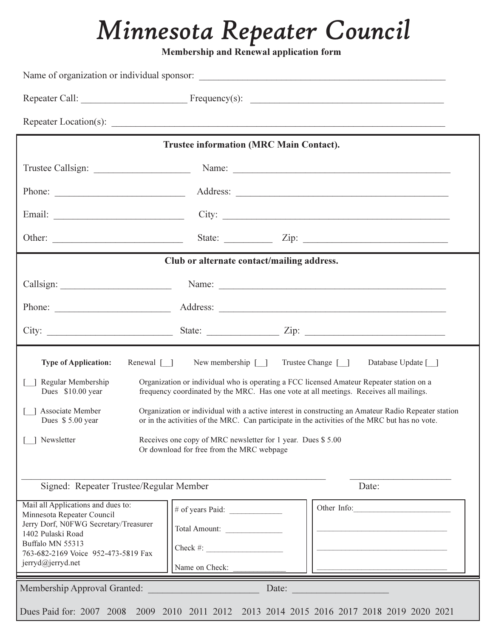# Minnesota Repeater Council

Membership and Renewal application form

|                                                                                                                                                                                                                                               | Trustee information (MRC Main Contact).                                                                                                                                            |  |  |
|-----------------------------------------------------------------------------------------------------------------------------------------------------------------------------------------------------------------------------------------------|------------------------------------------------------------------------------------------------------------------------------------------------------------------------------------|--|--|
| Trustee Callsign:                                                                                                                                                                                                                             |                                                                                                                                                                                    |  |  |
|                                                                                                                                                                                                                                               |                                                                                                                                                                                    |  |  |
|                                                                                                                                                                                                                                               | City:                                                                                                                                                                              |  |  |
|                                                                                                                                                                                                                                               |                                                                                                                                                                                    |  |  |
| Club or alternate contact/mailing address.                                                                                                                                                                                                    |                                                                                                                                                                                    |  |  |
|                                                                                                                                                                                                                                               |                                                                                                                                                                                    |  |  |
|                                                                                                                                                                                                                                               |                                                                                                                                                                                    |  |  |
|                                                                                                                                                                                                                                               |                                                                                                                                                                                    |  |  |
| <b>Type of Application:</b><br>Renewal $\lceil \rceil$                                                                                                                                                                                        | Trustee Change [ ]<br>New membership $\lceil \quad \rceil$<br>Database Update [ ]                                                                                                  |  |  |
| Regular Membership<br>Dues \$10.00 year                                                                                                                                                                                                       | Organization or individual who is operating a FCC licensed Amateur Repeater station on a<br>frequency coordinated by the MRC. Has one vote at all meetings. Receives all mailings. |  |  |
| Associate Member<br>Organization or individual with a active interest in constructing an Amateur Radio Repeater station<br>or in the activities of the MRC. Can participate in the activities of the MRC but has no vote.<br>Dues \$5.00 year |                                                                                                                                                                                    |  |  |
|                                                                                                                                                                                                                                               |                                                                                                                                                                                    |  |  |
| Newsletter                                                                                                                                                                                                                                    | Receives one copy of MRC newsletter for 1 year. Dues \$5.00<br>Or download for free from the MRC webpage                                                                           |  |  |
| Signed: Repeater Trustee/Regular Member                                                                                                                                                                                                       | Date:                                                                                                                                                                              |  |  |
| Mail all Applications and dues to:<br>Minnesota Repeater Council                                                                                                                                                                              | Other Info:<br># of years Paid: $\frac{1}{2}$                                                                                                                                      |  |  |
| Jerry Dorf, N0FWG Secretary/Treasurer<br>1402 Pulaski Road                                                                                                                                                                                    | Total Amount:                                                                                                                                                                      |  |  |
| Buffalo MN 55313<br>763-682-2169 Voice 952-473-5819 Fax                                                                                                                                                                                       | $Check \#:\n$                                                                                                                                                                      |  |  |
| jerryd@jerryd.net                                                                                                                                                                                                                             | Name on Check:                                                                                                                                                                     |  |  |
| Membership Approval Granted:                                                                                                                                                                                                                  | Date:                                                                                                                                                                              |  |  |